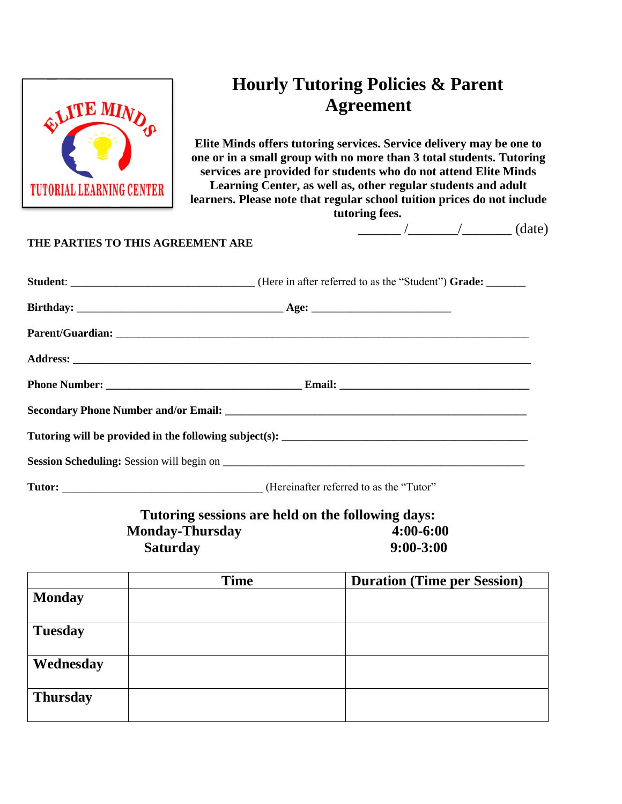

# **Hourly Tutoring Policies & Parent Agreement**

**Elite Minds offers tutoring services. Service delivery may be one to one or in a small group with no more than 3 total students. Tutoring services are provided for students who do not attend Elite Minds Learning Center, as well as, other regular students and adult learners. Please note that regular school tuition prices do not include** 

**tutoring fees.**

 $\frac{1}{\sqrt{2\pi}}$  / $\frac{1}{\sqrt{2\pi}}$  (date)

### **THE PARTIES TO THIS AGREEMENT ARE**

| <b>Student:</b> ___________________________________(Here in after referred to as the "Student") Grade: _______ |  |  |  |  |
|----------------------------------------------------------------------------------------------------------------|--|--|--|--|
|                                                                                                                |  |  |  |  |
|                                                                                                                |  |  |  |  |
|                                                                                                                |  |  |  |  |
|                                                                                                                |  |  |  |  |
|                                                                                                                |  |  |  |  |
|                                                                                                                |  |  |  |  |
|                                                                                                                |  |  |  |  |
|                                                                                                                |  |  |  |  |

**Tutor: Tutor: CONSIDENTIFY** (Hereinafter referred to as the "Tutor"

**Tutoring sessions are held on the following days: Monday-Thursday 4:00-6:00 Saturday 9:00-3:00**

|                 | <b>Time</b> | <b>Duration (Time per Session)</b> |  |  |
|-----------------|-------------|------------------------------------|--|--|
| <b>Monday</b>   |             |                                    |  |  |
| <b>Tuesday</b>  |             |                                    |  |  |
| Wednesday       |             |                                    |  |  |
| <b>Thursday</b> |             |                                    |  |  |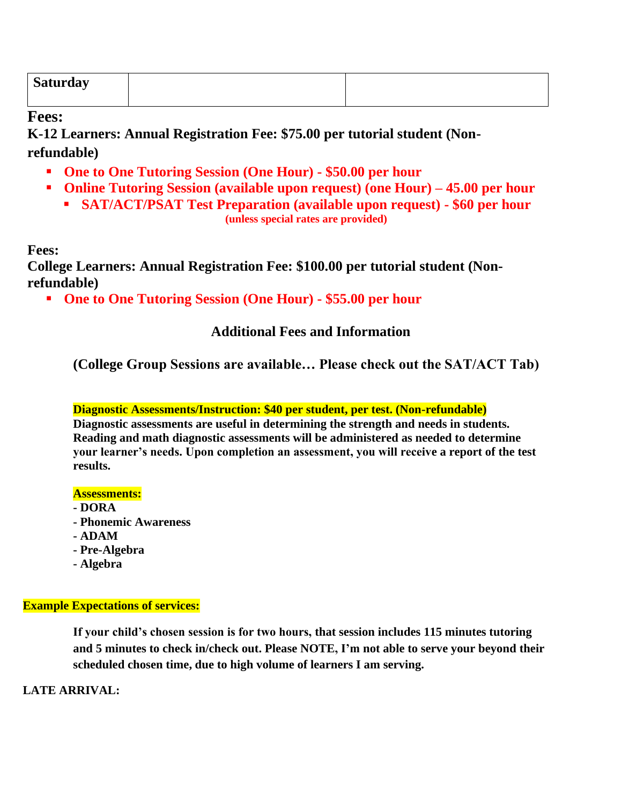| <b>Saturday</b> |  |
|-----------------|--|
|                 |  |

**Fees:**

**K-12 Learners: Annual Registration Fee: \$75.00 per tutorial student (Nonrefundable)**

- **One to One Tutoring Session (One Hour) - \$50.00 per hour**
- **Online Tutoring Session (available upon request) (one Hour) – 45.00 per hour**
	- **SAT/ACT/PSAT Test Preparation (available upon request) - \$60 per hour (unless special rates are provided)**

**Fees:**

**College Learners: Annual Registration Fee: \$100.00 per tutorial student (Nonrefundable)**

▪ **One to One Tutoring Session (One Hour) - \$55.00 per hour**

## **Additional Fees and Information**

**(College Group Sessions are available… Please check out the SAT/ACT Tab)**

### **Diagnostic Assessments/Instruction: \$40 per student, per test. (Non-refundable)**

**Diagnostic assessments are useful in determining the strength and needs in students. Reading and math diagnostic assessments will be administered as needed to determine your learner's needs. Upon completion an assessment, you will receive a report of the test results.** 

#### **Assessments:**

- **- DORA**
- **- Phonemic Awareness**
- **- ADAM**
- **- Pre-Algebra**
- **- Algebra**

### **Example Expectations of services:**

**If your child's chosen session is for two hours, that session includes 115 minutes tutoring and 5 minutes to check in/check out. Please NOTE, I'm not able to serve your beyond their scheduled chosen time, due to high volume of learners I am serving.** 

**LATE ARRIVAL:**